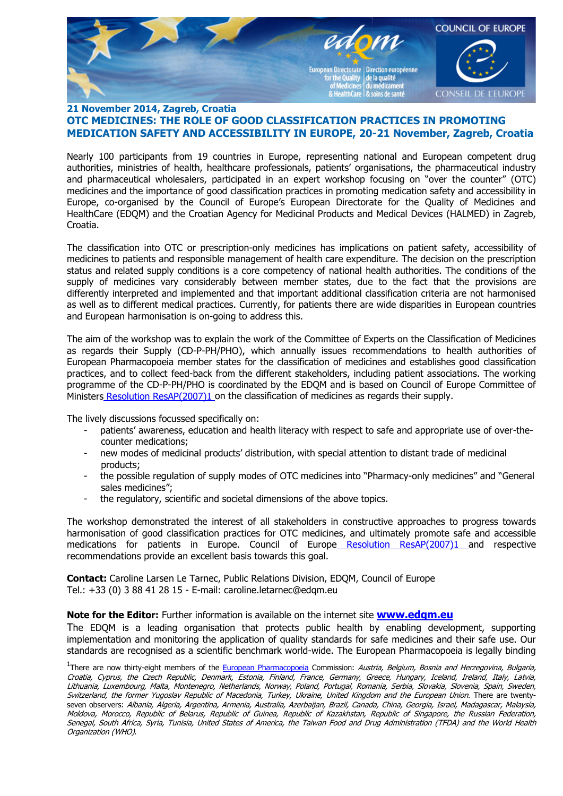

## **21 November 2014, Zagreb, Croatia OTC MEDICINES: THE ROLE OF GOOD CLASSIFICATION PRACTICES IN PROMOTING MEDICATION SAFETY AND ACCESSIBILITY IN EUROPE, 20-21 November, Zagreb, Croatia**

Nearly 100 participants from 19 countries in Europe, representing national and European competent drug authorities, ministries of health, healthcare professionals, patients' organisations, the pharmaceutical industry and pharmaceutical wholesalers, participated in an expert workshop focusing on "over the counter" (OTC) medicines and the importance of good classification practices in promoting medication safety and accessibility in Europe, co-organised by the Council of Europe's European Directorate for the Quality of Medicines and HealthCare (EDQM) and the Croatian Agency for Medicinal Products and Medical Devices (HALMED) in Zagreb, Croatia.

The classification into OTC or prescription-only medicines has implications on patient safety, accessibility of medicines to patients and responsible management of health care expenditure. The decision on the prescription status and related supply conditions is a core competency of national health authorities. The conditions of the supply of medicines vary considerably between member states, due to the fact that the provisions are differently interpreted and implemented and that important additional classification criteria are not harmonised as well as to different medical practices. Currently, for patients there are wide disparities in European countries and European harmonisation is on-going to address this.

The aim of the workshop was to explain the work of the Committee of Experts on the Classification of Medicines as regards their Supply (CD-P-PH/PHO), which annually issues recommendations to health authorities of European Pharmacopoeia member states for the classification of medicines and establishes good classification practices, and to collect feed-back from the different stakeholders, including patient associations. The working programme of the CD-P-PH/PHO is coordinated by the EDQM and is based on Council of Europe Committee of Ministers [Resolution ResAP\(2007\)1 o](https://www.edqm.eu/site/resolution_resap20071_on_the_classification_of_medicines_as_regards_their_supplypdf-en-31162-2.html)n the classification of medicines as regards their supply.

The lively discussions focussed specifically on:

- patients' awareness, education and health literacy with respect to safe and appropriate use of over-thecounter medications;
- new modes of medicinal products' distribution, with special attention to distant trade of medicinal products;
- the possible regulation of supply modes of OTC medicines into "Pharmacy-only medicines" and "General sales medicines";
- the regulatory, scientific and societal dimensions of the above topics.

The workshop demonstrated the interest of all stakeholders in constructive approaches to progress towards harmonisation of good classification practices for OTC medicines, and ultimately promote safe and accessible medications for patients in Europe. Council of Europe [Resolution ResAP\(2007\)1 a](https://www.edqm.eu/site/resolution_resap20071_on_the_classification_of_medicines_as_regards_their_supplypdf-en-31162-2.html)nd respective recommendations provide an excellent basis towards this goal.

**Contact:** Caroline Larsen Le Tarnec, Public Relations Division, EDQM, Council of Europe Tel.: +33 (0) 3 88 41 28 15 - E-mail: [caroline.letarnec@edqm.eu](http://edrms.edqm.eu/edqm/livelink.exe/Downloads/caroline.letarnec@edqm.eu) 

## **Note for the Editor:** Further information is available on the internet site **[www.edqm.eu](http://www.edqm.eu/)**

The EDQM is a leading organisation that protects public health by enabling development, supporting implementation and monitoring the application of quality standards for safe medicines and their safe use. Our standards are recognised as a scientific benchmark world-wide. The European Pharmacopoeia is legally binding

<sup>&</sup>lt;sup>1</sup>There are now thirty-eight members of the [European Pharmacopoeia](http://www.edqm.eu/site/1964_PhEur_Convention_Englishpdf-en-99-2.html) Commission: *Austria, Belgium, Bosnia and Herzegovina, Bulgaria,* Croatia, Cyprus, the Czech Republic, Denmark, Estonia, Finland, France, Germany, Greece, Hungary, Iceland, Ireland, Italy, Latvia, Lithuania, Luxembourg, Malta, Montenegro, Netherlands, Norway, Poland, Portugal, Romania, Serbia, Slovakia, Slovenia, Spain, Sweden, Switzerland, the former Yugoslav Republic of Macedonia, Turkey, Ukraine, United Kingdom and the European Union. There are twentyseven observers: Albania, Algeria, Argentina, Armenia, Australia, Azerbaijan, Brazil, Canada, China, Georgia, Israel, Madagascar, Malaysia, Moldova, Morocco, Republic of Belarus, Republic of Guinea, Republic of Kazakhstan, Republic of Singapore, the Russian Federation, Senegal, South Africa, Syria, Tunisia, United States of America, the Taiwan Food and Drug Administration (TFDA) and the World Health Organization (WHO).